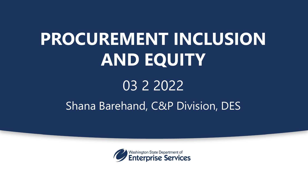# **PROCUREMENT INCLUSION AND EQUITY**

# 03 2 2022 Shana Barehand, C&P Division, DES

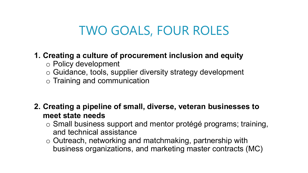### TWO GOALS, FOUR ROLES

#### **1. Creating a culture of procurement inclusion and equity**

- o Policy development
- o Guidance, tools, supplier diversity strategy development
- o Training and communication
- **2. Creating a pipeline of small, diverse, veteran businesses to meet state needs** 
	- o Small business support and mentor protégé programs; training, and technical assistance
	- o Outreach, networking and matchmaking, partnership with business organizations, and marketing master contracts (MC)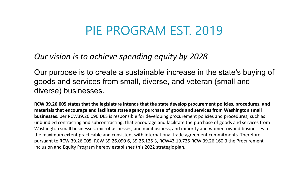#### PIE PROGRAM EST. 2019

*Our vision is to achieve spending equity by 2028*

Our purpose is to create a sustainable increase in the state's buying of goods and services from small, diverse, and veteran (small and diverse) businesses.

**RCW 39.26.005 states that the legislature intends that the state develop procurement policies, procedures, and materials that encourage and facilitate state agency purchase of goods and services from Washington small businesses**. per RCW39.26.090 DES is responsible for developing procurement policies and procedures, such as unbundled contracting and subcontracting, that encourage and facilitate the purchase of goods and services from Washington small businesses, microbusinesses, and minibusiness, and minority and women-owned businesses to the maximum extent practicable and consistent with international trade agreement commitments Therefore pursuant to RCW 39.26.005, RCW 39.26.090 6, 39.26.125 3, RCW43.19.725 RCW 39.26.160 3 the Procurement Inclusion and Equity Program hereby establishes this 2022 strategic plan.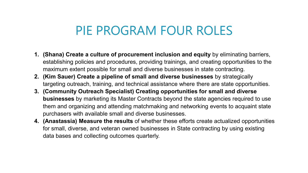#### PIE PROGRAM FOUR ROLES

- **1. (Shana) Create a culture of procurement inclusion and equity** by eliminating barriers, establishing policies and procedures, providing trainings, and creating opportunities to the maximum extent possible for small and diverse businesses in state contracting.
- **2. (Kim Sauer) Create a pipeline of small and diverse businesses** by strategically targeting outreach, training, and technical assistance where there are state opportunities.
- **3. (Community Outreach Specialist) Creating opportunities for small and diverse businesses** by marketing its Master Contracts beyond the state agencies required to use them and organizing and attending matchmaking and networking events to acquaint state purchasers with available small and diverse businesses.
- **4. (Anastassia) Measure the results** of whether these efforts create actualized opportunities for small, diverse, and veteran owned businesses in State contracting by using existing data bases and collecting outcomes quarterly.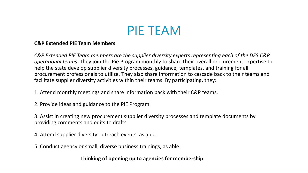

#### **C&P Extended PIE Team Members**

*C&P Extended PIE Team members are the supplier diversity experts representing each of the DES C&P operational teams*. They join the Pie Program monthly to share their overall procurement expertise to help the state develop supplier diversity processes, guidance, templates, and training for all procurement professionals to utilize. They also share information to cascade back to their teams and facilitate supplier diversity activities within their teams. By participating, they:

1. Attend monthly meetings and share information back with their C&P teams.

2. Provide ideas and guidance to the PIE Program.

3. Assist in creating new procurement supplier diversity processes and template documents by providing comments and edits to drafts.

4. Attend supplier diversity outreach events, as able.

5. Conduct agency or small, diverse business trainings, as able.

**Thinking of opening up to agencies for membership**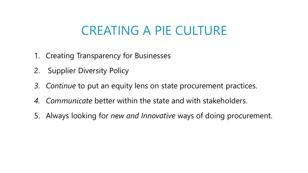## CREATING A PIE CULTURE

- 1. Creating Transparency for Businesses
- 2. Supplier Diversity Policy
- *3. Continue* to put an equity lens on state procurement practices.
- *4. Communicate* better within the state and with stakeholders.
- 5. Always looking for *new and Innovative* ways of doing procurement.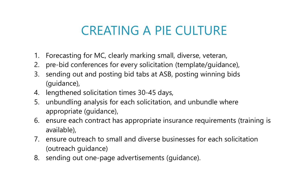## CREATING A PIE CULTURE

- 1. Forecasting for MC, clearly marking small, diverse, veteran,
- 2. pre-bid conferences for every solicitation (template/guidance),
- 3. sending out and posting bid tabs at ASB, posting winning bids (guidance),
- 4. lengthened solicitation times 30-45 days,
- 5. unbundling analysis for each solicitation, and unbundle where appropriate (guidance),
- 6. ensure each contract has appropriate insurance requirements (training is available),
- 7. ensure outreach to small and diverse businesses for each solicitation (outreach guidance)
- 8. sending out one-page advertisements (guidance).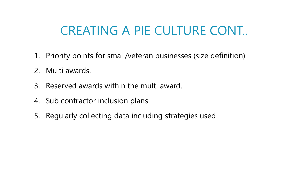## CREATING A PIE CULTURE CONT..

- 1. Priority points for small/veteran businesses (size definition).
- 2. Multi awards.
- 3. Reserved awards within the multi award.
- 4. Sub contractor inclusion plans.
- 5. Regularly collecting data including strategies used.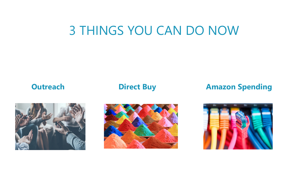### 3 THINGS YOU CAN DO NOW

#### **Outreach <b>Direct Buy Amazon Spending**





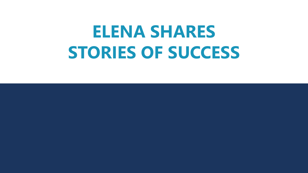# **ELENA SHARES STORIES OF SUCCESS**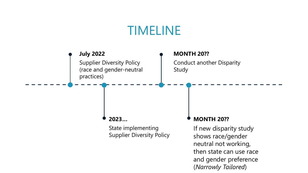### TIMELINE